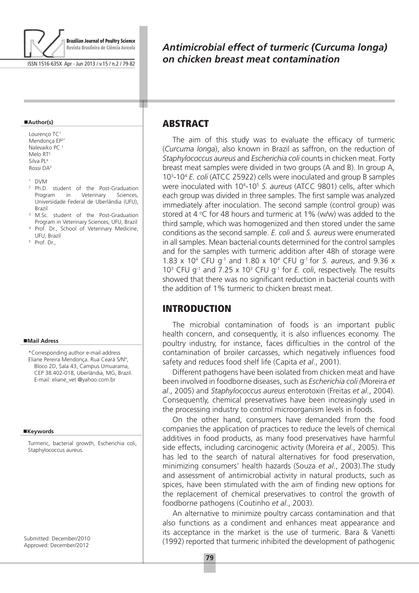

ISSN 1516-635X Apr - Jun 2013 / v.15 / n.2 / 79-82

#### **Author(s)**

Lourenço TC<sup>1</sup> Mendonça EP2\* Nalevaiko PC<sup>1</sup> Melo RT<sup>3</sup> Silva PL4 Rossi DA5

- <sup>1</sup> DVM<br>
<sup>2</sup> Ph.D. student of the Post-Graduation<br>
Program in Veterinary Sciences. Program in Veterinary Universidade Federal de Uberlândia (UFU),
- Brazil<br><sup>3</sup> M.Sc. student of the Post-Graduation Program in Veterinary Sciences, UFU, Brazil
- <sup>4</sup> Prof. Dr., School of Veterinary Medicine,<br>UFU, Brazil
- <sup>5</sup> Prof. Dr.,

#### **Mail Adress**

\*Corresponding author e-mail address Eliane Pereira Mendonça. Rua Ceará S/Nº, Bloco 2D, Sala 43, Campus Umuarama, CEP 38.402-018, Uberlândia, MG, Brazil. E-mail: eliane\_vet @yahoo.com.br

#### ■Keywords

Turmeric, bacterial growth, Escherichia coli, Staphylococcus aureus.

Submitted: December/2010 Approved: December/2012

# *Antimicrobial effect of turmeric (Curcuma longa) on chicken breast meat contamination*

# **ABSTRACT**

т

The aim of this study was to evaluate the efficacy of turmeric (*Curcuma longa*), also known in Brazil as saffron, on the reduction of *Staphylococcus aureus* and *Escherichia coli* counts in chicken meat. Forty breast meat samples were divided in two groups (A and B). In group A, 103 -104 *E. coli* (ATCC 25922) cells were inoculated and group B samples were inoculated with 10<sup>4</sup>-10<sup>5</sup> S. aureus (ATCC 9801) cells, after which each group was divided in three samples. The first sample was analyzed immediately after inoculation. The second sample (control group) was stored at 4  $\mathrm{C}$  for 48 hours and turmeric at 1% (w/w) was added to the third sample, which was homogenized and then stored under the same conditions as the second sample. *E. coli* and *S. aureus* were enumerated in all samples. Mean bacterial counts determined for the control samples and for the samples with turmeric addition after 48h of storage were 1.83 x 104 CFU g-1 and 1.80 x 104 CFU g-1 for *S. aureus*, and 9.36 x 10<sup>3</sup> CFU g<sup>-1</sup> and 7.25 x 10<sup>3</sup> CFU g<sup>-1</sup> for *E. coli*, respectively. The results showed that there was no significant reduction in bacterial counts with the addition of 1% turmeric to chicken breast meat.

# INTRODUCTION

The microbial contamination of foods is an important public health concern, and consequently, it is also influences economy. The poultry industry, for instance, faces difficulties in the control of the contamination of broiler carcasses, which negatively influences food safety and reduces food shelf life (Capita *et al*., 2001).

Different pathogens have been isolated from chicken meat and have been involved in foodborne diseases, such as *Escherichia coli (*Moreira *et al*., 2005) and *Staphylococcus aureus* enterotoxin (Freitas *et al*., 2004). Consequently, chemical preservatives have been increasingly used in the processing industry to control microorganism levels in foods.

On the other hand, consumers have demanded from the food companies the application of practices to reduce the levels of chemical additives in food products, as many food preservatives have harmful side effects, including carcinogenic activity (Moreira *et al*., 2005). This has led to the search of natural alternatives for food preservation, minimizing consumers' health hazards (Souza *et al*., 2003).The study and assessment of antimicrobial activity in natural products, such as spices, have been stimulated with the aim of finding new options for the replacement of chemical preservatives to control the growth of foodborne pathogens (Coutinho *et al*., 2003).

An alternative to minimize poultry carcass contamination and that also functions as a condiment and enhances meat appearance and its acceptance in the market is the use of turmeric. Bara & Vanetti (1992) reported that turmeric inhibited the development of pathogenic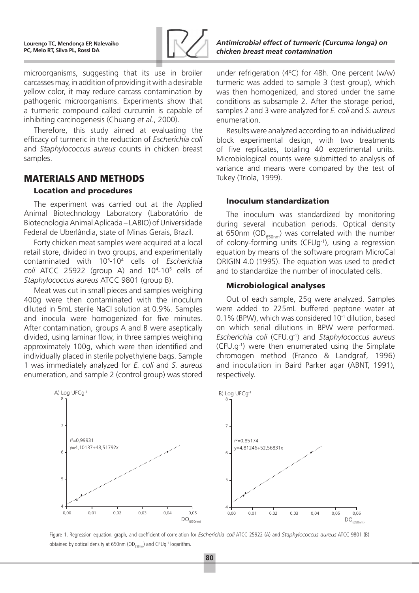

microorganisms, suggesting that its use in broiler carcasses may, in addition of providing it with a desirable yellow color, it may reduce carcass contamination by pathogenic microorganisms. Experiments show that a turmeric compound called curcumin is capable of inhibiting carcinogenesis (Chuang *et al.*, 2000).

Therefore, this study aimed at evaluating the efficacy of turmeric in the reduction of *Escherichia coli*  and *Staphylococcus aureus* counts in chicken breast samples.

## Materials and Methods

### Location and procedures

The experiment was carried out at the Applied Animal Biotechnology Laboratory (Laboratório de Biotecnologia Animal Aplicada – LABIO) of Universidade Federal de Uberlândia, state of Minas Gerais, Brazil.

Forty chicken meat samples were acquired at a local retail store, divided in two groups, and experimentally contaminated with 103 -104 cells of *Escherichia*  coli ATCC 25922 (group A) and 10<sup>4</sup>-10<sup>5</sup> cells of *Staphylococcus aureus* ATCC 9801 (group B).

Meat was cut in small pieces and samples weighing 400g were then contaminated with the inoculum diluted in 5mL sterile NaCl solution at 0.9%. Samples and inocula were homogenized for five minutes. After contamination, groups A and B were aseptically divided, using laminar flow, in three samples weighing approximately 100g, which were then identified and individually placed in sterile polyethylene bags. Sample 1 was immediately analyzed for *E. coli* and *S. aureus* enumeration, and sample 2 (control group) was stored



Figure 1. Regression equation, graph, and coefficient of correlation for *Escherichia coli* ATCC 25922 (A) and *Staphylococcus aureus* ATCC 9801 (B) obtained by optical density at 650nm (OD $_{650nm}$ ) and CFUg<sup>-1</sup> logarithm.

under refrigeration  $(4^{\circ}C)$  for 48h. One percent  $(w/w)$ turmeric was added to sample 3 (test group), which was then homogenized, and stored under the same conditions as subsample 2. After the storage period, samples 2 and 3 were analyzed for *E. coli* and *S. aureus* enumeration.

Results were analyzed according to an individualized block experimental design, with two treatments of five replicates, totaling 40 experimental units. Microbiological counts were submitted to analysis of variance and means were compared by the test of Tukey (Triola, 1999).

### Inoculum standardization

The inoculum was standardized by monitoring during several incubation periods. Optical density at 650nm (OD $_{650nm}$ ) was correlated with the number of colony-forming units (CFUg-1), using a regression equation by means of the software program MicroCal ORIGIN 4.0 (1995). The equation was used to predict and to standardize the number of inoculated cells.

### Microbiological analyses

Out of each sample, 25g were analyzed. Samples were added to 225mL buffered peptone water at 0.1% (BPW), which was considered 10-1 dilution, based on which serial dilutions in BPW were performed. *Escherichia coli* (CFU.g-1) and *Staphylococcus aureus* (CFU.g-1) were then enumerated using the Simplate chromogen method (Franco & Landgraf, 1996) and inoculation in Baird Parker agar (ABNT, 1991), respectively.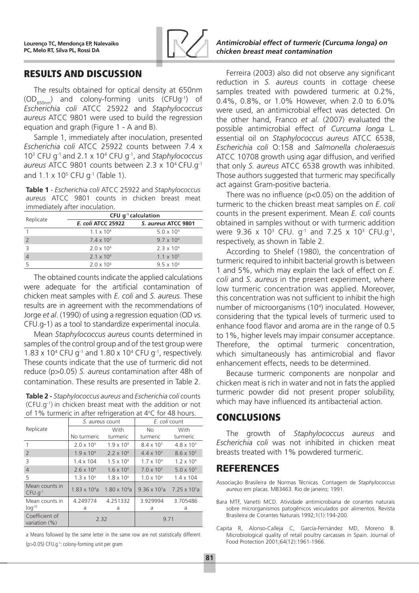

# Results and Discussion

The results obtained for optical density at 650nm  $(OD_{650nm})$  and colony-forming units (CFUg<sup>-1</sup>) of *Escherichia coli* ATCC 25922 and *Staphylococcus aureus* ATCC 9801 were used to build the regression equation and graph (Figure 1 - A and B).

Sample 1, immediately after inoculation, presented *Escherichia coli* ATCC 25922 counts between 7.4 x 103 CFU g-1 and 2.1 x 104 CFU g-1, and *Staphylococcus aureus* ATCC 9801 counts between 2.3 x 104 CFU.g-1 and  $1.1 \times 10^5$  CFU g<sup>-1</sup> (Table 1).

**Table 1** - *Escherichia coli* ATCC 25922 and *Staphylococcus aureus* ATCC 9801 counts in chicken breast meat immediately after inoculation.

| Replicate                | CFU $q^{-1}$ calculation |                     |  |  |
|--------------------------|--------------------------|---------------------|--|--|
|                          | E. coli ATCC 25922       | S. aureus ATCC 9801 |  |  |
|                          | $1.1 \times 10^{4}$      | $5.0 \times 10^{4}$ |  |  |
| $\overline{\phantom{0}}$ | $7.4 \times 10^{3}$      | $9.7 \times 10^{4}$ |  |  |
|                          | $2.0 \times 10^{4}$      | $2.3 \times 10^{4}$ |  |  |
|                          | $2.1 \times 10^{4}$      | $1.1 \times 10^{5}$ |  |  |
|                          | $2.0 \times 10^{4}$      | $9.5 \times 10^{4}$ |  |  |

The obtained counts indicate the applied calculations were adequate for the artificial contamination of chicken meat samples with *E. coli* and *S. aureus.* These results are in agreement with the recommendations of Jorge *et al*. (1990) of using a regression equation (OD *vs.* CFU.g-1) as a tool to standardize experimental inocula.

Mean *Staphylococcus aureus* counts determined in samples of the control group and of the test group were 1.83 x 10<sup>4</sup> CFU g<sup>-1</sup> and 1.80 x 10<sup>4</sup> CFU g<sup>-1</sup>, respectively. These counts indicate that the use of turmeric did not reduce (p>0.05) *S. aureus* contamination after 48h of contamination. These results are presented in Table 2.

**Table 2 -** *Staphylococcus aureus* and *Escherichia coli* counts (CFU.g-1) in chicken breast meat with the addition or not of 1% turmeric in after refrigeration at 4 $\rm ^{o}$ C for 48 hours.

|                                 | S. aureus count        |                        | E. coli count                                 |                     |  |  |
|---------------------------------|------------------------|------------------------|-----------------------------------------------|---------------------|--|--|
| Replicate                       |                        | With                   | No.                                           | <b>With</b>         |  |  |
|                                 | No turmeric            | turmeric               | turmeric                                      | turmeric            |  |  |
|                                 | $2.0 \times 10^{4}$    | $1.9 \times 10^{4}$    | $8.4 \times 10^{3}$                           | $4.8 \times 10^{3}$ |  |  |
| $\overline{2}$                  | $1.9 \times 10^{4}$    | $2.2 \times 10^{4}$    | $4.4 \times 10^{3}$                           | $8.6 \times 10^{2}$ |  |  |
| 3                               | $1.4 \times 104$       | $1.5 \times 10^{4}$    | $1.7 \times 10^{4}$                           | $1.2 \times 10^{4}$ |  |  |
| $\overline{4}$                  | $2.6 \times 10^{4}$    | $1.6 \times 10^{4}$    | $7.0 \times 10^{3}$                           | $5.0 \times 10^{3}$ |  |  |
| 5                               | $1.3 \times 10^{4}$    | $1.8 \times 10^{4}$    | $1.0 \times 10^{4}$                           | $1.4 \times 104$    |  |  |
| Mean counts in<br>$CFU.q^{-1}$  | $1.83 \times 10^{4}$ a | $1.80 \times 10^{4}$ a | $9.36 \times 10^3$ a 7.25 x 10 <sup>3</sup> a |                     |  |  |
| Mean counts in                  | 4.249774               | 4.251332               | 3.929994                                      | 3.705486            |  |  |
| log <sup>10</sup>               | a                      | a                      | a                                             | a                   |  |  |
| Coefficient of<br>variation (%) | 2.32                   |                        | 9.71                                          |                     |  |  |

a Means followed by the same letter in the same row are not statistically different (p>0.05) CFU.g-1: colony-forming unit per gram

Ferreira (2003) also did not observe any significant reduction in *S. aureus* counts in cottage cheese samples treated with powdered turmeric at 0.2%, 0.4%, 0.8%, or 1.0% However, when 2.0 to 6.0% were used, an antimicrobial effect was detected. On the other hand, Franco *et al*. (2007) evaluated the possible antimicrobial effect of *Curcuma longa* L. essential oil on *Staphylococcus aureus* ATCC 6538, *Escherichia coli* O:158 and *Salmonella choleraesuis* ATCC 10708 growth using agar diffusion, and verified that only *S. aureus* ATCC 6538 growth was inhibited. Those authors suggested that turmeric may specifically act against Gram-positive bacteria.

There was no influence (p<0.05) on the addition of turmeric to the chicken breast meat samples on *E. coli* counts in the present experiment. Mean *E. coli* counts obtained in samples without or with turmeric addition were 9.36 x 10<sup>3</sup> CFU.  $g^{-1}$  and 7.25 x 10<sup>3</sup> CFU.g<sup>-1</sup>, respectively, as shown in Table 2.

According to Shelef (1980), the concentration of turmeric required to inhibit bacterial growth is between 1 and 5%, which may explain the lack of effect on *E. coli* and *S. aureus* in the present experiment, where low turmeric concentration was applied. Moreover, this concentration was not sufficient to inhibit the high number of microorganisms (104 ) inoculated. However, considering that the typical levels of turmeric used to enhance food flavor and aroma are in the range of 0.5 to 1%, higher levels may impair consumer acceptance. Therefore, the optimal turmeric concentration, which simultaneously has antimicrobial and flavor enhancement effects, needs to be determined.

Because turmeric components are nonpolar and chicken meat is rich in water and not in fats the applied turmeric powder did not present proper solubility, which may have influenced its antibacterial action.

# **CONCLUSIONS**

The growth of *Staphylococcus aureus* and *Escherichia coli* was not inhibited in chicken meat breasts treated with 1% powdered turmeric.

# REFERENCES

- Associação Brasileira de Normas Técnicas. Contagem de *Staphylococcus aureus* em placas. MB3463. Rio de janeiro; 1991.
- Bara MTF, Vanetti MCD. Atividade antimicrobiana de corantes naturais sobre microrganismos patogênicos veiculados por alimentos. Revista Brasileira de Corantes Naturais 1992;1(1):194-200.
- Capita R, Alonso-Calleja C, García-Fernández MD, Moreno B. Microbiological quality of retail poultry carcasses in Spain. Journal of Food Protection 2001;64(12):1961-1966.